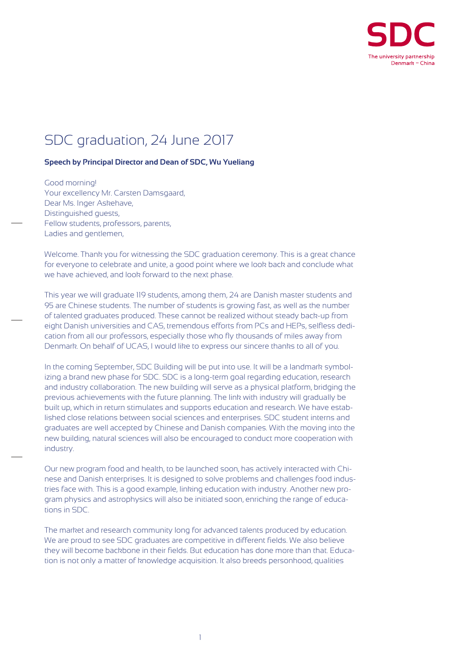

## SDC graduation, 24 June 2017

## **Speech by Principal Director and Dean of SDC, Wu Yueliang**

Good morning! Your excellency Mr. Carsten Damsgaard, Dear Ms. Inger Askehave, Distinguished guests, Fellow students, professors, parents, Ladies and gentlemen,

Welcome. Thank you for witnessing the SDC graduation ceremony. This is a great chance for everyone to celebrate and unite, a good point where we look back and conclude what we have achieved, and look forward to the next phase.

This year we will graduate 119 students, among them, 24 are Danish master students and 95 are Chinese students. The number of students is growing fast, as well as the number of talented graduates produced. These cannot be realized without steady back-up from eight Danish universities and CAS, tremendous efforts from PCs and HEPs, selfless dedication from all our professors, especially those who fly thousands of miles away from Denmark. On behalf of UCAS, I would like to express our sincere thanks to all of you.

In the coming September, SDC Building will be put into use. It will be a landmark symbolizing a brand new phase for SDC. SDC is a long-term goal regarding education, research and industry collaboration. The new building will serve as a physical platform, bridging the previous achievements with the future planning. The link with industry will gradually be built up, which in return stimulates and supports education and research. We have established close relations between social sciences and enterprises. SDC student interns and graduates are well accepted by Chinese and Danish companies. With the moving into the new building, natural sciences will also be encouraged to conduct more cooperation with industry.

Our new program food and health, to be launched soon, has actively interacted with Chinese and Danish enterprises. It is designed to solve problems and challenges food industries face with. This is a good example, linking education with industry. Another new program physics and astrophysics will also be initiated soon, enriching the range of educations in SDC.

The market and research community long for advanced talents produced by education. We are proud to see SDC graduates are competitive in different fields. We also believe they will become backbone in their fields. But education has done more than that. Education is not only a matter of knowledge acquisition. It also breeds personhood, qualities